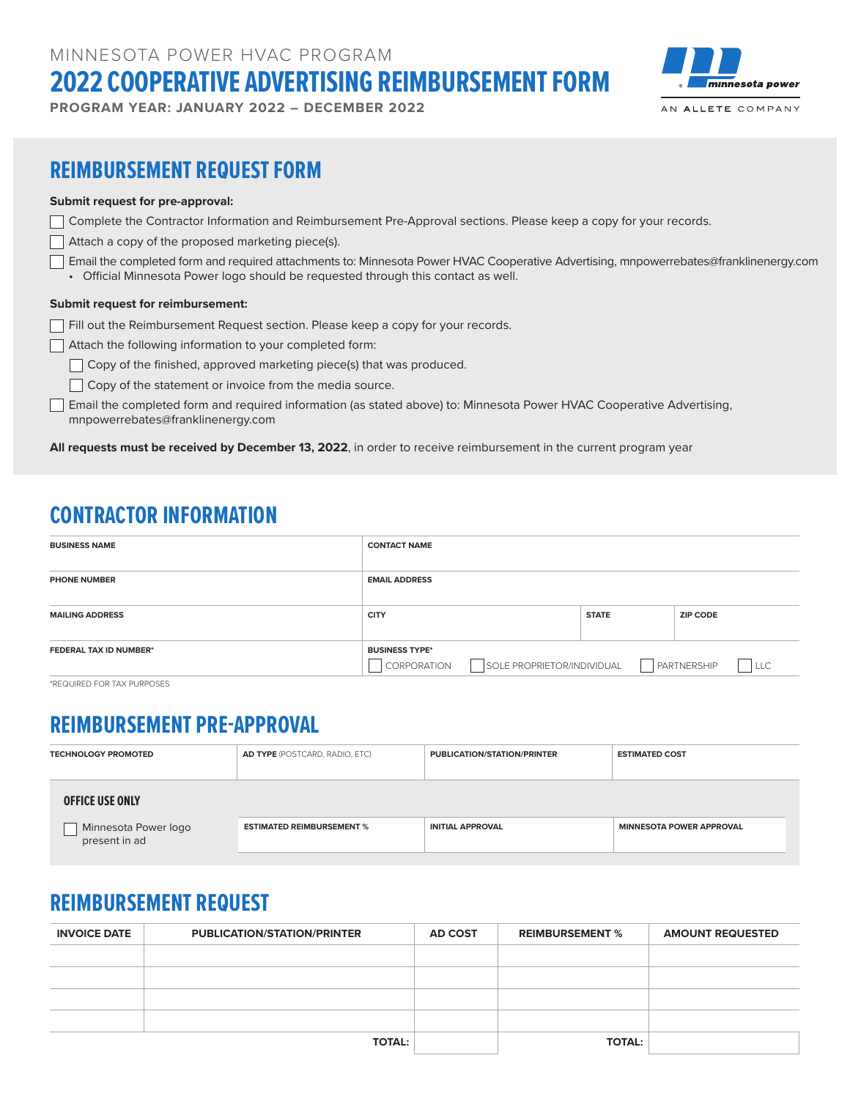MINNESOTA POWER HVAC PROGRAM **2022 COOPERATIVE ADVERTISING REIMBURSEMENT FORM**

**PROGRAM YEAR: JANUARY 2022 – DECEMBER 2022**



### **REIMBURSEMENT REQUEST FORM**

#### **Submit request for pre-approval:**

|  | 7 Complete the Contractor Information and Reimbursement Pre-Approval sections. Please keep a copy for your records. |  |  |  |  |
|--|---------------------------------------------------------------------------------------------------------------------|--|--|--|--|
|--|---------------------------------------------------------------------------------------------------------------------|--|--|--|--|

- $\Box$  Attach a copy of the proposed marketing piece(s).
- Email the completed form and required attachments to: Minnesota Power HVAC Cooperative Advertising, mnpowerrebates@franklinenergy.com • Official Minnesota Power logo should be requested through this contact as well.

#### **Submit request for reimbursement:**

- Fill out the Reimbursement Request section. Please keep a copy for your records.
- Attach the following information to your completed form:
	- Copy of the finished, approved marketing piece(s) that was produced.
	- $\Box$  Copy of the statement or invoice from the media source.
- Email the completed form and required information (as stated above) to: Minnesota Power HVAC Cooperative Advertising, mnpowerrebates@franklinenergy.com

**All requests must be received by December 13, 2022**, in order to receive reimbursement in the current program year

## **CONTRACTOR INFORMATION**

| <b>BUSINESS NAME</b>          | <b>CONTACT NAME</b>                                                |              |                                                    |
|-------------------------------|--------------------------------------------------------------------|--------------|----------------------------------------------------|
| <b>PHONE NUMBER</b>           | <b>EMAIL ADDRESS</b>                                               |              |                                                    |
| <b>MAILING ADDRESS</b>        | <b>CITY</b>                                                        | <b>STATE</b> | <b>ZIP CODE</b>                                    |
| <b>FEDERAL TAX ID NUMBER*</b> | <b>BUSINESS TYPE*</b><br>SOLE PROPRIETOR/INDIVIDUAL<br>CORPORATION |              | $\blacksquare$<br><b>PARTNERSHIP</b><br><b>LLC</b> |

\*REQUIRED FOR TAX PURPOSES

#### **REIMBURSEMENT PRE-APPROVAL**

| <b>TECHNOLOGY PROMOTED</b>            | <b>AD TYPE</b> (POSTCARD, RADIO, ETC) | <b>PUBLICATION/STATION/PRINTER</b> | <b>ESTIMATED COST</b>           |
|---------------------------------------|---------------------------------------|------------------------------------|---------------------------------|
| <b>OFFICE USE ONLY</b>                |                                       |                                    |                                 |
| Minnesota Power logo<br>present in ad | <b>ESTIMATED REIMBURSEMENT %</b>      | <b>INITIAL APPROVAL</b>            | <b>MINNESOTA POWER APPROVAL</b> |

# **REIMBURSEMENT REQUEST**

| <b>INVOICE DATE</b> | <b>PUBLICATION/STATION/PRINTER</b> | <b>AD COST</b> | <b>REIMBURSEMENT %</b> | <b>AMOUNT REQUESTED</b> |
|---------------------|------------------------------------|----------------|------------------------|-------------------------|
|                     |                                    |                |                        |                         |
|                     |                                    |                |                        |                         |
|                     |                                    |                |                        |                         |
|                     |                                    |                |                        |                         |
|                     | <b>TOTAL:</b>                      |                | <b>TOTAL:</b>          |                         |